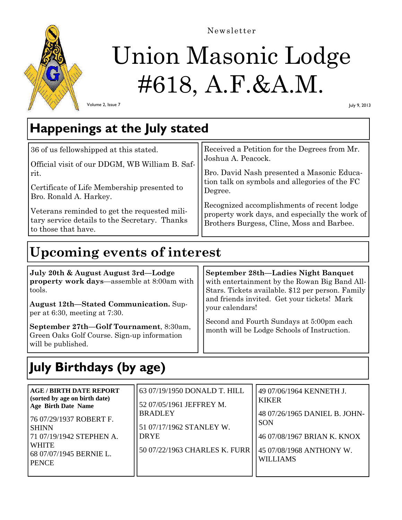

### Newsletter

# Union Masonic Lodge #618, A.F.&A.M.

Volume 2, Issue 7

July 9, 2013

### **Happenings at the July stated**

| 36 of us fellowshipped at this stated.         | Received a Petition for the Degrees from Mr.   |
|------------------------------------------------|------------------------------------------------|
| Official visit of our DDGM, WB William B. Saf- | Joshua A. Peacock.                             |
| rit.                                           | Bro. David Nash presented a Masonic Educa-     |
| Certificate of Life Membership presented to    | tion talk on symbols and allegories of the FC  |
| Bro. Ronald A. Harkey.                         | Degree.                                        |
| Veterans reminded to get the requested mili-   | Recognized accomplishments of recent lodge     |
| tary service details to the Secretary. Thanks  | property work days, and especially the work of |
| to those that have.                            | Brothers Burgess, Cline, Moss and Barbee.      |

### **Upcoming events of interest**

| July 20th & August August 3rd—Lodge<br>property work days—assemble at 8:00am with<br>tools.<br>August 12th-Stated Communication. Sup-         | September 28th-Ladies Night Banquet<br>with entertainment by the Rowan Big Band All-<br>Stars. Tickets available. \$12 per person. Family<br>and friends invited. Get your tickets! Mark<br>your calendars! |
|-----------------------------------------------------------------------------------------------------------------------------------------------|-------------------------------------------------------------------------------------------------------------------------------------------------------------------------------------------------------------|
| per at 6:30, meeting at 7:30.<br>September 27th-Golf Tournament, 8:30am,<br>Green Oaks Golf Course. Sign-up information<br>will be published. | Second and Fourth Sundays at 5:00pm each<br>month will be Lodge Schools of Instruction.                                                                                                                     |

# **July Birthdays (by age)**

| <b>AGE/BIRTH DATE REPORT</b><br>(sorted by age on birth date)<br><b>Age Birth Date Name</b><br>  76 07/29/1937 ROBERT F.<br><b>SHINN</b><br>71 07/19/1942 STEPHEN A.<br><b>WHITE</b><br>68 07/07/1945 BERNIE L.<br><b>PENCE</b> | 63 07/19/1950 DONALD T. HILL<br>52 07/05/1961 JEFFREY M.<br><b>BRADLEY</b><br>51 07/17/1962 STANLEY W.<br><b>DRYE</b><br>50 07/22/1963 CHARLES K. FURR | 49 07/06/1964 KENNETH J.<br><b>KIKER</b><br>48 07/26/1965 DANIEL B. JOHN-<br><b>SON</b><br>46 07/08/1967 BRIAN K. KNOX<br>45 07/08/1968 ANTHONY W.<br><b>WILLIAMS</b> |
|---------------------------------------------------------------------------------------------------------------------------------------------------------------------------------------------------------------------------------|--------------------------------------------------------------------------------------------------------------------------------------------------------|-----------------------------------------------------------------------------------------------------------------------------------------------------------------------|
|---------------------------------------------------------------------------------------------------------------------------------------------------------------------------------------------------------------------------------|--------------------------------------------------------------------------------------------------------------------------------------------------------|-----------------------------------------------------------------------------------------------------------------------------------------------------------------------|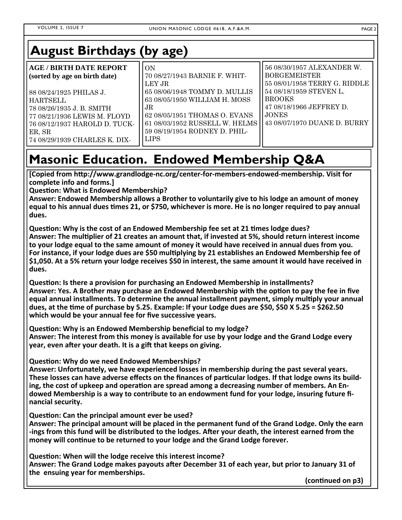## **August Birthdays (by age)**

| <b>AGE / BIRTH DATE REPORT</b><br>(sorted by age on birth date)                                                                          | 10N<br>70 08/27/1943 BARNIE F. WHIT-<br>LEY JR                                                                                                                                      | 56 08/30/1957 ALEXANDER W.<br><b>BORGEMEISTER</b><br>55 08/01/1958 TERRY G. RIDDLE                                      |
|------------------------------------------------------------------------------------------------------------------------------------------|-------------------------------------------------------------------------------------------------------------------------------------------------------------------------------------|-------------------------------------------------------------------------------------------------------------------------|
| 88 08/24/1925 PHILAS J.<br><b>HARTSELL</b><br>78 08/26/1935 J. B. SMITH<br>77 08/21/1936 LEWIS M. FLOYD<br>76 08/12/1937 HAROLD D. TUCK- | 65 08/06/1948 TOMMY D. MULLIS<br>63 08/05/1950 WILLIAM H. MOSS<br>$J\mathrm{R}$<br>62 08/05/1951 THOMAS O. EVANS<br>61 08/03/1952 RUSSELL W. HELMS<br>59 08/19/1954 RODNEY D. PHIL- | 54 08/18/1959 STEVEN L.<br><b>BROOKS</b><br>47 08/18/1966 JEFFREY D.<br><b>JONES</b><br>   43 08/07/1970 DUANE D. BURRY |
| ER, SR<br>74 08/29/1939 CHARLES K. DIX-                                                                                                  | <b>LIPS</b>                                                                                                                                                                         |                                                                                                                         |

# **Masonic Education. Endowed Membership Q&A**

**[Copied from hƩp://www.grandlodge‐nc.org/center‐for‐members‐endowed‐membership. Visit for complete info and forms.]** 

**QuesƟon: What is Endowed Membership?** 

**Answer: Endowed Membership allows a Brother to voluntarily give to his lodge an amount of money equal to his annual dues Ɵmes 21, or \$750, whichever is more. He is no longer required to pay annual dues.** 

**QuesƟon: Why is the cost of an Endowed Membership fee set at 21 Ɵmes lodge dues? Answer: The mulƟplier of 21 creates an amount that, if invested at 5%, should return interest income to your lodge equal to the same amount of money it would have received in annual dues from you.**  For instance, if your lodge dues are \$50 multiplying by 21 establishes an Endowed Membership fee of **\$1,050. At a 5% return your lodge receives \$50 in interest, the same amount it would have received in dues.** 

**QuesƟon: Is there a provision for purchasing an Endowed Membership in installments? Answer: Yes. A Brother may purchase an Endowed Membership with the opƟon to pay the fee in five equal annual installments. To determine the annual installment payment, simply mulƟply your annual dues, at the Ɵme of purchase by 5.25. Example: If your Lodge dues are \$50, \$50 X 5.25 = \$262.50 which would be your annual fee for five successive years.** 

**QuesƟon: Why is an Endowed Membership beneficial to my lodge? Answer: The interest from this money is available for use by your lodge and the Grand Lodge every year, even after your death. It is a gift that keeps on giving.** 

**QuesƟon: Why do we need Endowed Memberships?** 

**Answer: Unfortunately, we have experienced losses in membership during the past several years. These losses can have adverse effects on the finances of parƟcular lodges. If that lodge owns its build‐ ing, the cost of upkeep and operation are spread among a decreasing number of members. An Endowed Membership is a way to contribute to an endowment fund for your lodge, insuring future fi‐ nancial security.** 

**QuesƟon: Can the principal amount ever be used?** 

**Answer: The principal amount will be placed in the permanent fund of the Grand Lodge. Only the earn Fings from this fund will be distributed to the lodges. After your death, the interest earned from the money will conƟnue to be returned to your lodge and the Grand Lodge forever.** 

**QuesƟon: When will the lodge receive this interest income?** 

**Answer: The Grand Lodge makes payouts aŌer December 31 of each year, but prior to January 31 of the ensuing year for memberships.** 

 **(conƟnued on p3)**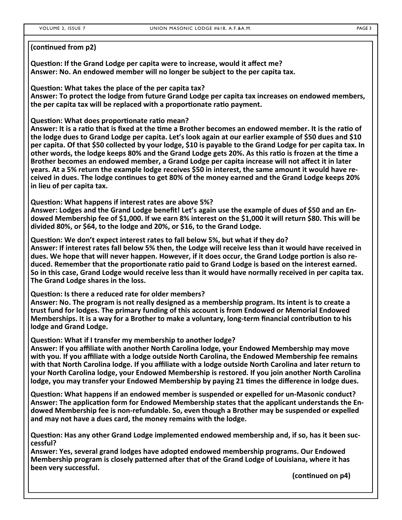#### **(conƟnued from p2)**

**QuesƟon: If the Grand Lodge per capita were to increase, would it affect me? Answer: No. An endowed member will no longer be subject to the per capita tax.** 

**QuesƟon: What takes the place of the per capita tax? Answer: To protect the lodge from future Grand Lodge per capita tax increases on endowed members, the per capita tax will be replaced with a proportionate ratio payment.** 

**QuesƟon: What does proporƟonate raƟo mean?** 

**Answer: It is a raƟo that is fixed at the Ɵme a Brother becomes an endowed member. It is the raƟo of the lodge dues to Grand Lodge per capita. Let's look again at our earlier example of \$50 dues and \$10 per capita. Of that \$50 collected by your lodge, \$10 is payable to the Grand Lodge for per capita tax. In other words, the lodge keeps 80% and the Grand Lodge gets 20%. As this raƟo is frozen at the Ɵme a Brother becomes an endowed member, a Grand Lodge per capita increase will not affect it in later years. At a 5% return the example lodge receives \$50 in interest, the same amount it would have re‐ ceived in dues. The lodge conƟnues to get 80% of the money earned and the Grand Lodge keeps 20% in lieu of per capita tax.** 

**QuesƟon: What happens if interest rates are above 5%?** 

**Answer: Lodges and the Grand Lodge benefit! Let's again use the example of dues of \$50 and an En‐ dowed Membership fee of \$1,000. If we earn 8% interest on the \$1,000 it will return \$80. This will be divided 80%, or \$64, to the lodge and 20%, or \$16, to the Grand Lodge.** 

**QuesƟon: We don't expect interest rates to fall below 5%, but what if they do? Answer: If interest rates fall below 5% then, the Lodge will receive less than it would have received in dues. We hope that will never happen. However, if it does occur, the Grand Lodge porƟon is also re‐ duced. Remember that the proporƟonate raƟo paid to Grand Lodge is based on the interest earned. So in this case, Grand Lodge would receive less than it would have normally received in per capita tax. The Grand Lodge shares in the loss.** 

**QuesƟon: Is there a reduced rate for older members?** 

**Answer: No. The program is not really designed as a membership program. Its intent is to create a trust fund for lodges. The primary funding of this account is from Endowed or Memorial Endowed Memberships. It is a way for a Brother to make a voluntary, long-term financial contribution to his <b>mate lodge and Grand Lodge.** 

**QuesƟon: What if I transfer my membership to another lodge?** 

**Answer: If you affiliate with another North Carolina lodge, your Endowed Membership may move with you. If you affiliate with a lodge outside North Carolina, the Endowed Membership fee remains with that North Carolina lodge. If you affiliate with a lodge outside North Carolina and later return to your North Carolina lodge, your Endowed Membership is restored. If you join another North Carolina lodge, you may transfer your Endowed Membership by paying 21 Ɵmes the difference in lodge dues.** 

**QuesƟon: What happens if an endowed member is suspended or expelled for un‐Masonic conduct? Answer: The applicaƟon form for Endowed Membership states that the applicant understands the En‐ dowed Membership fee is non‐refundable. So, even though a Brother may be suspended or expelled and may not have a dues card, the money remains with the lodge.** 

**QuesƟon: Has any other Grand Lodge implemented endowed membership and, if so, has it been suc‐ cessful?** 

**Answer: Yes, several grand lodges have adopted endowed membership programs. Our Endowed Membership program is closely paƩerned aŌer that of the Grand Lodge of Louisiana, where it has been very successful.** 

 **(conƟnued on p4)**